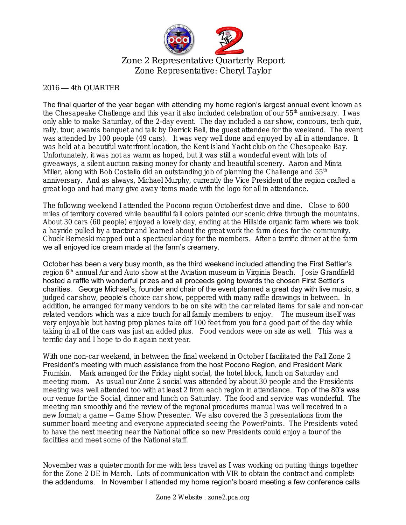

Zone 2 Representative Quarterly Report Zone Representative: Cheryl Taylor

## 2016 — 4th QUARTER

The final quarter of the year began with attending my home region's largest annual event known as the Chesapeake Challenge and this year it also included celebration of our 55<sup>th</sup> anniversary. I was only able to make Saturday, of the 2-day event. The day included a car show, concours, tech quiz, rally, tour, awards banquet and talk by Derrick Bell, the guest attendee for the weekend. The event was attended by 100 people (49 cars). It was very well done and enjoyed by all in attendance. It was held at a beautiful waterfront location, the Kent Island Yacht club on the Chesapeake Bay. Unfortunately, it was not as warm as hoped, but it was still a wonderful event with lots of giveaways, a silent auction raising money for charity and beautiful scenery. Aaron and Minta Miller, along with Bob Costello did an outstanding job of planning the Challenge and  $55<sup>th</sup>$ anniversary. And as always, Michael Murphy, currently the Vice President of the region crafted a great logo and had many give away items made with the logo for all in attendance.

The following weekend I attended the Pocono region Octoberfest drive and dine. Close to 600 miles of territory covered while beautiful fall colors painted our scenic drive through the mountains. About 30 cars (60 people) enjoyed a lovely day, ending at the Hillside organic farm where we took a hayride pulled by a tractor and learned about the great work the farm does for the community. Chuck Berneski mapped out a spectacular day for the members. After a terrific dinner at the farm we all enjoyed ice cream made at the farm's creamery.

October has been a very busy month, as the third weekend included attending the First Settler's region 6<sup>th</sup> annual Air and Auto show at the Aviation museum in Virginia Beach. Josie Grandfield hosted a raffle with wonderful prizes and all proceeds going towards the chosen First Settler's charities. George Michael's, founder and chair of the event planned a great day with live music, a judged car show, people's choice car show, peppered with many raffle drawings in between. In addition, he arranged for many vendors to be on site with the car related items for sale and non-car related vendors which was a nice touch for all family members to enjoy. The museum itself was very enjoyable but having prop planes take off 100 feet from you for a good part of the day while taking in all of the cars was just an added plus. Food vendors were on site as well. This was a terrific day and I hope to do it again next year.

With one non-car weekend, in between the final weekend in October I facilitated the Fall Zone 2 President's meeting with much assistance from the host Pocono Region, and President Mark Frumkin. Mark arranged for the Friday night social, the hotel block, lunch on Saturday and meeting room. As usual our Zone 2 social was attended by about 30 people and the Presidents meeting was well attended too with at least 2 from each region in attendance. Top of the 80's was our venue for the Social, dinner and lunch on Saturday. The food and service was wonderful. The meeting ran smoothly and the review of the regional procedures manual was well received in a new format; a game – Game Show Presenter. We also covered the 3 presentations from the summer board meeting and everyone appreciated seeing the PowerPoints. The Presidents voted to have the next meeting near the National office so new Presidents could enjoy a tour of the facilities and meet some of the National staff.

November was a quieter month for me with less travel as I was working on putting things together for the Zone 2 DE in March. Lots of communication with VIR to obtain the contract and complete the addendums. In November I attended my home region's board meeting a few conference calls